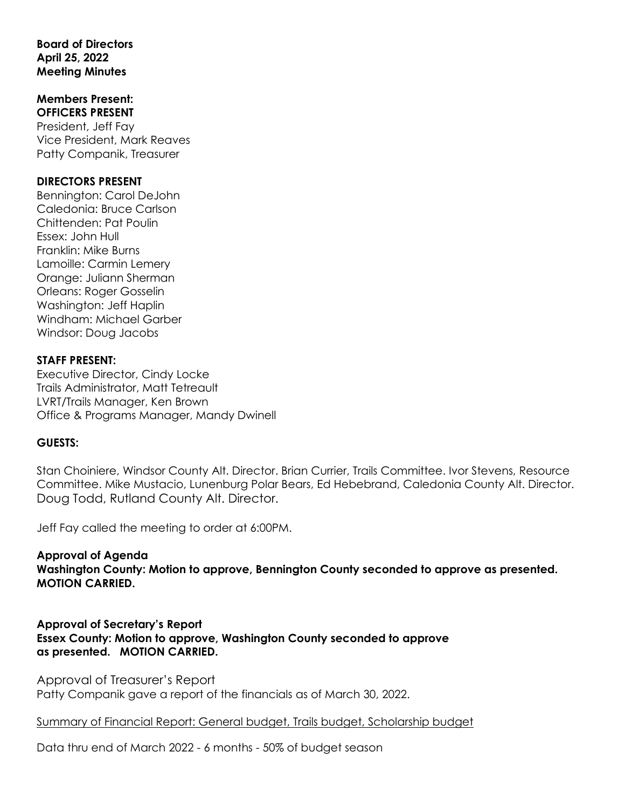### **Board of Directors April 25, 2022 Meeting Minutes**

#### **Members Present: OFFICERS PRESENT**

President, Jeff Fay Vice President, Mark Reaves Patty Companik, Treasurer

### **DIRECTORS PRESENT**

Bennington: Carol DeJohn Caledonia: Bruce Carlson Chittenden: Pat Poulin Essex: John Hull Franklin: Mike Burns Lamoille: Carmin Lemery Orange: Juliann Sherman Orleans: Roger Gosselin Washington: Jeff Haplin Windham: Michael Garber Windsor: Doug Jacobs

## **STAFF PRESENT:**

Executive Director, Cindy Locke Trails Administrator, Matt Tetreault LVRT/Trails Manager, Ken Brown Office & Programs Manager, Mandy Dwinell

## **GUESTS:**

Stan Choiniere, Windsor County Alt. Director. Brian Currier, Trails Committee. Ivor Stevens, Resource Committee. Mike Mustacio, Lunenburg Polar Bears, Ed Hebebrand, Caledonia County Alt. Director. Doug Todd, Rutland County Alt. Director.

Jeff Fay called the meeting to order at 6:00PM.

**Approval of Agenda Washington County: Motion to approve, Bennington County seconded to approve as presented. MOTION CARRIED.**

**Approval of Secretary's Report Essex County: Motion to approve, Washington County seconded to approve as presented. MOTION CARRIED.**

Approval of Treasurer's Report Patty Companik gave a report of the financials as of March 30, 2022.

Summary of Financial Report: General budget, Trails budget, Scholarship budget

Data thru end of March 2022 - 6 months - 50% of budget season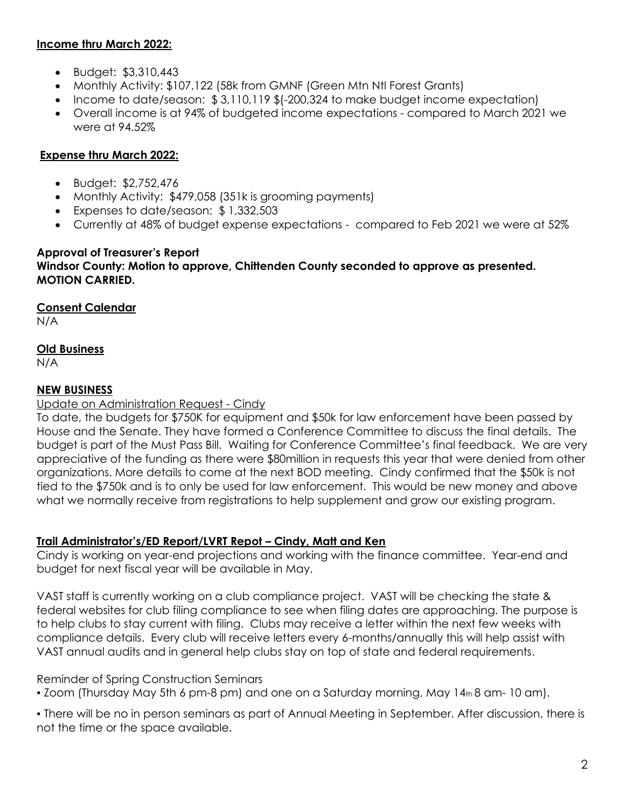# **Income thru March 2022:**

- Budget: \$3,310,443
- Monthly Activity: \$107,122 (58k from GMNF (Green Mtn Ntl Forest Grants)
- Income to date/season: \$ 3,110,119 \$(-200,324 to make budget income expectation)
- Overall income is at 94% of budgeted income expectations compared to March 2021 we were at 94.52%

# **Expense thru March 2022:**

- Budget: \$2,752,476
- Monthly Activity: \$479,058 (351k is grooming payments)
- Expenses to date/season: \$ 1,332,503
- Currently at 48% of budget expense expectations compared to Feb 2021 we were at 52%

### **Approval of Treasurer's Report Windsor County: Motion to approve, Chittenden County seconded to approve as presented. MOTION CARRIED.**

# **Consent Calendar**

N/A

# **Old Business**

N/A

# **NEW BUSINESS**

# Update on Administration Request - Cindy

To date, the budgets for \$750K for equipment and \$50k for law enforcement have been passed by House and the Senate. They have formed a Conference Committee to discuss the final details. The budget is part of the Must Pass Bill. Waiting for Conference Committee's final feedback. We are very appreciative of the funding as there were \$80million in requests this year that were denied from other organizations. More details to come at the next BOD meeting. Cindy confirmed that the \$50k is not tied to the \$750k and is to only be used for law enforcement. This would be new money and above what we normally receive from registrations to help supplement and grow our existing program.

# **Trail Administrator's/ED Report/LVRT Repot – Cindy, Matt and Ken**

Cindy is working on year-end projections and working with the finance committee. Year-end and budget for next fiscal year will be available in May.

VAST staff is currently working on a club compliance project. VAST will be checking the state & federal websites for club filing compliance to see when filing dates are approaching. The purpose is to help clubs to stay current with filing. Clubs may receive a letter within the next few weeks with compliance details. Every club will receive letters every 6-months/annually this will help assist with VAST annual audits and in general help clubs stay on top of state and federal requirements.

## Reminder of Spring Construction Seminars

 $\bullet$  Zoom (Thursday May 5th 6 pm-8 pm) and one on a Saturday morning, May 14 $_{th}$ 8 am-10 am).

▪ There will be no in person seminars as part of Annual Meeting in September. After discussion, there is not the time or the space available.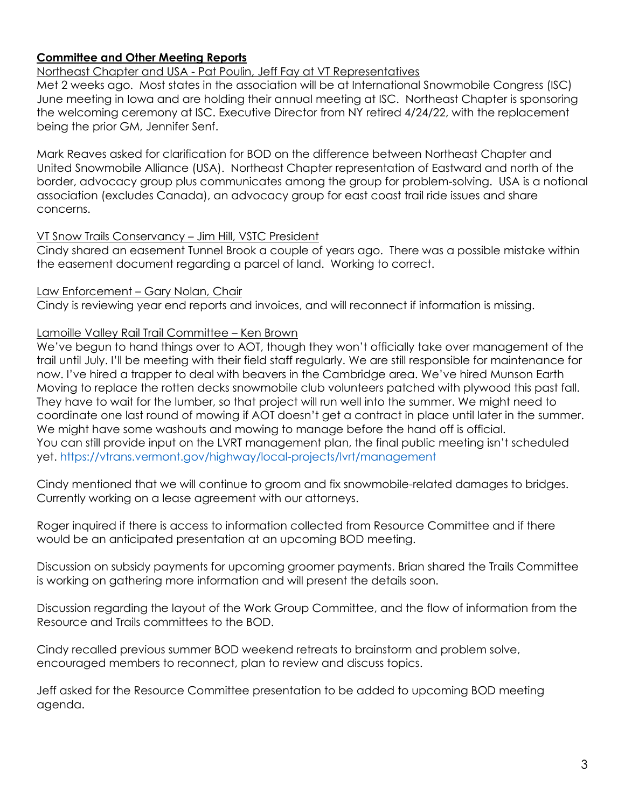# **Committee and Other Meeting Reports**

Northeast Chapter and USA - Pat Poulin, Jeff Fay at VT Representatives

Met 2 weeks ago. Most states in the association will be at International Snowmobile Congress (ISC) June meeting in Iowa and are holding their annual meeting at ISC. Northeast Chapter is sponsoring the welcoming ceremony at ISC. Executive Director from NY retired 4/24/22, with the replacement being the prior GM, Jennifer Senf.

Mark Reaves asked for clarification for BOD on the difference between Northeast Chapter and United Snowmobile Alliance (USA). Northeast Chapter representation of Eastward and north of the border, advocacy group plus communicates among the group for problem-solving. USA is a notional association (excludes Canada), an advocacy group for east coast trail ride issues and share concerns.

#### VT Snow Trails Conservancy – Jim Hill, VSTC President

Cindy shared an easement Tunnel Brook a couple of years ago. There was a possible mistake within the easement document regarding a parcel of land. Working to correct.

#### Law Enforcement – Gary Nolan, Chair

Cindy is reviewing year end reports and invoices, and will reconnect if information is missing.

### Lamoille Valley Rail Trail Committee – Ken Brown

We've begun to hand things over to AOT, though they won't officially take over management of the trail until July. I'll be meeting with their field staff regularly. We are still responsible for maintenance for now. I've hired a trapper to deal with beavers in the Cambridge area. We've hired Munson Earth Moving to replace the rotten decks snowmobile club volunteers patched with plywood this past fall. They have to wait for the lumber, so that project will run well into the summer. We might need to coordinate one last round of mowing if AOT doesn't get a contract in place until later in the summer. We might have some washouts and mowing to manage before the hand off is official. You can still provide input on the LVRT management plan, the final public meeting isn't scheduled yet. https://vtrans.vermont.gov/highway/local-projects/lvrt/management

Cindy mentioned that we will continue to groom and fix snowmobile-related damages to bridges. Currently working on a lease agreement with our attorneys.

Roger inquired if there is access to information collected from Resource Committee and if there would be an anticipated presentation at an upcoming BOD meeting.

Discussion on subsidy payments for upcoming groomer payments. Brian shared the Trails Committee is working on gathering more information and will present the details soon.

Discussion regarding the layout of the Work Group Committee, and the flow of information from the Resource and Trails committees to the BOD.

Cindy recalled previous summer BOD weekend retreats to brainstorm and problem solve, encouraged members to reconnect, plan to review and discuss topics.

Jeff asked for the Resource Committee presentation to be added to upcoming BOD meeting agenda.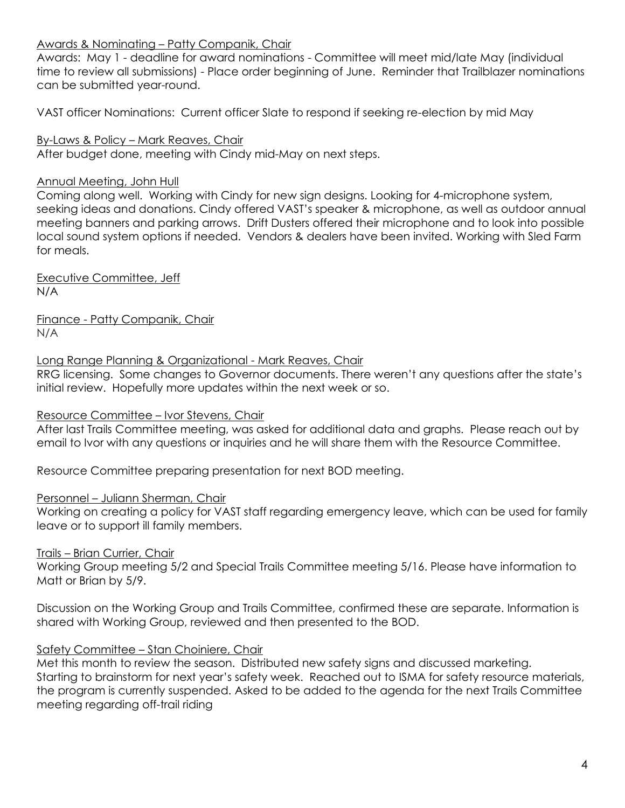### Awards & Nominating – Patty Companik, Chair

Awards: May 1 - deadline for award nominations - Committee will meet mid/late May (individual time to review all submissions) - Place order beginning of June. Reminder that Trailblazer nominations can be submitted year-round.

VAST officer Nominations: Current officer Slate to respond if seeking re-election by mid May

By-Laws & Policy – Mark Reaves, Chair After budget done, meeting with Cindy mid-May on next steps.

### Annual Meeting, John Hull

Coming along well. Working with Cindy for new sign designs. Looking for 4-microphone system, seeking ideas and donations. Cindy offered VAST's speaker & microphone, as well as outdoor annual meeting banners and parking arrows. Drift Dusters offered their microphone and to look into possible local sound system options if needed. Vendors & dealers have been invited. Working with Sled Farm for meals.

Executive Committee, Jeff N/A

Finance - Patty Companik, Chair N/A

Long Range Planning & Organizational - Mark Reaves, Chair

RRG licensing. Some changes to Governor documents. There weren't any questions after the state's initial review. Hopefully more updates within the next week or so.

#### Resource Committee – Ivor Stevens, Chair

After last Trails Committee meeting, was asked for additional data and graphs. Please reach out by email to Ivor with any questions or inquiries and he will share them with the Resource Committee.

Resource Committee preparing presentation for next BOD meeting.

#### Personnel – Juliann Sherman, Chair

Working on creating a policy for VAST staff regarding emergency leave, which can be used for family leave or to support ill family members.

#### Trails – Brian Currier, Chair

Working Group meeting 5/2 and Special Trails Committee meeting 5/16. Please have information to Matt or Brian by 5/9.

Discussion on the Working Group and Trails Committee, confirmed these are separate. Information is shared with Working Group, reviewed and then presented to the BOD.

#### Safety Committee – Stan Choiniere, Chair

Met this month to review the season. Distributed new safety signs and discussed marketing. Starting to brainstorm for next year's safety week. Reached out to ISMA for safety resource materials, the program is currently suspended. Asked to be added to the agenda for the next Trails Committee meeting regarding off-trail riding